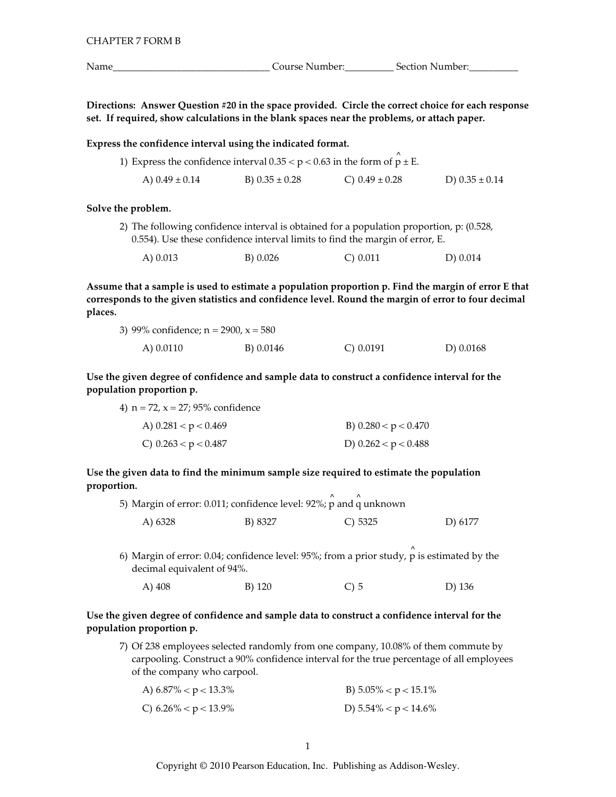Course Number: Section Number:

the

Directions: Answer Question #20 in the space provided. Circle the correct choice for each response set. If required, show calculations in the blank spaces near the problems, or attach paper.

Express the confidence interval using the indicated format.

| 1) Express the confidence interval $0.35 < p < 0.63$ in the form of $p \pm E$ . |                    |                    |                    |
|---------------------------------------------------------------------------------|--------------------|--------------------|--------------------|
| A) $0.49 \pm 0.14$                                                              | B) $0.35 \pm 0.28$ | C) $0.49 \pm 0.28$ | D) $0.35 \pm 0.14$ |

### Solve the problem.

2) The following confidence interval is obtained for a population proportion, p: (0.528, 0.554). Use these confidence interval limits to find the margin of error, E.

| A) 0.013 | B) 0.026 | $C$ ) 0.011 | D) 0.014 |
|----------|----------|-------------|----------|
|----------|----------|-------------|----------|

Assume that a sample is used to estimate a population proportion p. Find the margin of error E that corresponds to the given statistics and confidence level. Round the margin of error to four decimal places.

| 3) 99% confidence; $n = 2900$ , $x = 580$ |           |              |             |
|-------------------------------------------|-----------|--------------|-------------|
| A) 0.0110                                 | B) 0.0146 | $C$ ) 0.0191 | D) $0.0168$ |

Use the given degree of confidence and sample data to construct a confidence interval for the population proportion p.

4)  $n = 72$ ,  $x = 27$ ; 95% confidence

decimal equivalent of 94%.

| A) $0.281 < p < 0.469$ | B) $0.280 < p < 0.470$ |
|------------------------|------------------------|
| C) $0.263 < p < 0.487$ | D) $0.262 < p < 0.488$ |

Use the given data to find the minimum sample size required to estimate the population proportion.  $\lambda$ 

|         | 5) Margin of error: 0.011; confidence level: 92%; p and q unknown |                                                                                        |         |
|---------|-------------------------------------------------------------------|----------------------------------------------------------------------------------------|---------|
| A) 6328 | B) 8327                                                           | $C$ ) 5325                                                                             | D) 6177 |
|         |                                                                   | 6) Margin of error: 0.04; confidence level: 95%; from a prior study, p is estimated by |         |

A) 408 **B**) 120  $C$ ) 5 D) 136

# Use the given degree of confidence and sample data to construct a confidence interval for the population proportion p.

7) Of 238 employees selected randomly from one company, 10.08% of them commute by carpooling. Construct a 90% confidence interval for the true percentage of all employees of the company who carpool.

| A) $6.87\% < p < 13.3\%$ | B) $5.05\% < p < 15.1\%$ |
|--------------------------|--------------------------|
| C) $6.26\% < p < 13.9\%$ | D) $5.54\% < p < 14.6\%$ |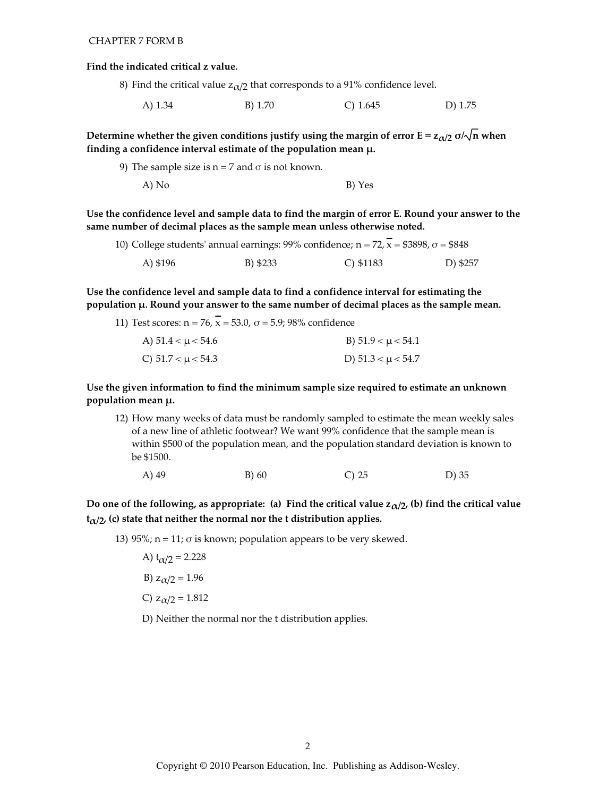#### Find the indicated critical z value.

- 8) Find the critical value  $z_{\alpha/2}$  that corresponds to a 91% confidence level.
	- A) 1.34 B) 1.70  $C) 1.645$ D) 1.75

Determine whether the given conditions justify using the margin of error  $E = z_{\alpha/2} \sigma/\sqrt{n}$  when finding a confidence interval estimate of the population mean  $\mu$ .

9) The sample size is  $n = 7$  and  $\sigma$  is not known. B) Yes A) No

Use the confidence level and sample data to find the margin of error E. Round your answer to the same number of decimal places as the sample mean unless otherwise noted.

|          |          | 10) College students' annual earnings: 99% confidence; n = 72, x = \$3898, $\sigma$ = \$848 |          |
|----------|----------|---------------------------------------------------------------------------------------------|----------|
| A) \$196 | B) \$233 | C) $$1183$                                                                                  | D) \$257 |

Use the confidence level and sample data to find a confidence interval for estimating the population µ. Round your answer to the same number of decimal places as the sample mean.

11) Test scores:  $n = 76$ ,  $\overline{x} = 53.0$ ,  $\sigma = 5.9$ ; 98% confidence A)  $51.4 < \mu < 54.6$ B)  $51.9 < \mu < 54.1$ C)  $51.7 < \mu < 54.3$ D)  $51.3 < \mu < 54.7$ 

Use the given information to find the minimum sample size required to estimate an unknown population mean μ.

- 12) How many weeks of data must be randomly sampled to estimate the mean weekly sales of a new line of athletic footwear? We want 99% confidence that the sample mean is within \$500 of the population mean, and the population standard deviation is known to be \$1500.
	- A) 49  $B)60$  $C)$  25  $D)$  35

Do one of the following, as appropriate: (a) Find the critical value  $z_{\alpha/2}$ , (b) find the critical value  $t_{\alpha/2}$ , (c) state that neither the normal nor the t distribution applies.

13) 95%;  $n = 11$ ;  $\sigma$  is known; population appears to be very skewed.

- A)  $t_{\alpha/2} = 2.228$
- B)  $z_{\alpha/2} = 1.96$
- C)  $z_{\alpha/2} = 1.812$
- D) Neither the normal nor the t distribution applies.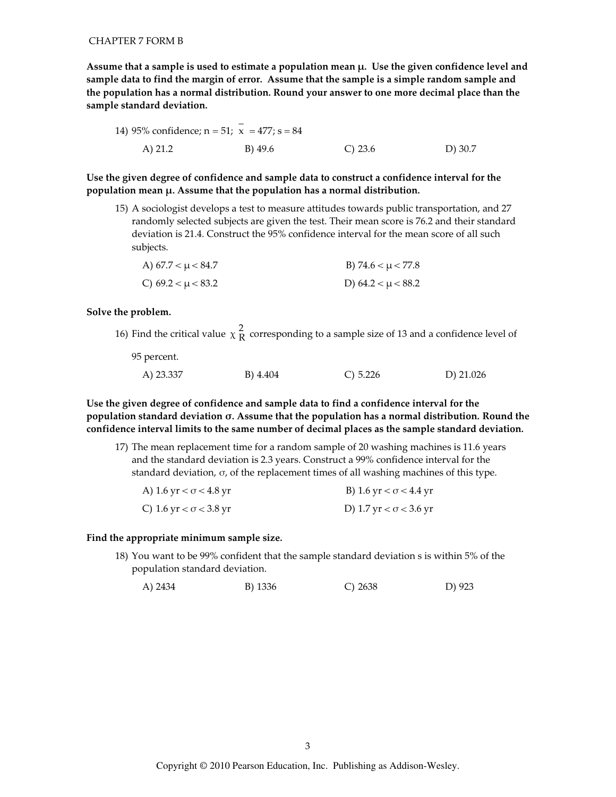Assume that a sample is used to estimate a population mean  $\mu$ . Use the given confidence level and sample data to find the margin of error. Assume that the sample is a simple random sample and the population has a normal distribution. Round your answer to one more decimal place than the sample standard deviation.

Use the given degree of confidence and sample data to construct a confidence interval for the population mean  $\mu$ . Assume that the population has a normal distribution.

15) A sociologist develops a test to measure attitudes towards public transportation, and 27 randomly selected subjects are given the test. Their mean score is 76.2 and their standard deviation is 21.4. Construct the 95% confidence interval for the mean score of all such subjects.

| A) $67.7 < \mu < 84.7$ | B) 74.6 $< \mu$ < 77.8 |
|------------------------|------------------------|
| C) $69.2 < \mu < 83.2$ | D) $64.2 < \mu < 88.2$ |

#### Solve the problem.

16) Find the critical value  $\chi$ <sup>2</sup><sub>R</sub> corresponding to a sample size of 13 and a confidence level of

95 percent.

| A) 23.337 | B) 4.404 | $C$ ) 5.226 | D) $21.026$ |
|-----------|----------|-------------|-------------|

Use the given degree of confidence and sample data to find a confidence interval for the population standard deviation  $\sigma$ . Assume that the population has a normal distribution. Round the confidence interval limits to the same number of decimal places as the sample standard deviation.

17) The mean replacement time for a random sample of 20 washing machines is 11.6 years and the standard deviation is 2.3 years. Construct a 99% confidence interval for the standard deviation,  $\sigma$ , of the replacement times of all washing machines of this type.

| A) 1.6 yr < $\sigma$ < 4.8 yr | B) 1.6 yr $< \sigma$ < 4.4 yr |
|-------------------------------|-------------------------------|
| C) 1.6 yr < $\sigma$ < 3.8 yr | D) 1.7 yr < $\sigma$ < 3.6 yr |

#### Find the appropriate minimum sample size.

18) You want to be 99% confident that the sample standard deviation s is within 5% of the population standard deviation.

| A) 2434 | B) 1336 | C) 2638 | D) 923 |
|---------|---------|---------|--------|
|         |         |         |        |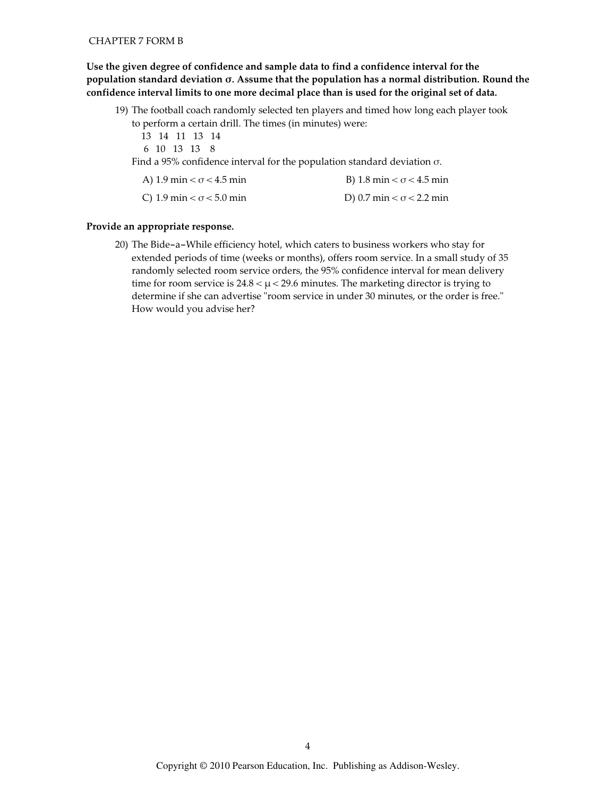Use the given degree of confidence and sample data to find a confidence interval for the population standard deviation  $\sigma$ . Assume that the population has a normal distribution. Round the confidence interval limits to one more decimal place than is used for the original set of data.

- 19) The football coach randomly selected ten players and timed how long each player took to perform a certain drill. The times (in minutes) were:
	- 13 14 11 13 14
	- 6 10 13 13 8

Find a 95% confidence interval for the population standard deviation  $\sigma$ .

| A) 1.9 min $< \sigma$ < 4.5 min | B) 1.8 min $< \sigma$ < 4.5 min |
|---------------------------------|---------------------------------|
| C) 1.9 min $< \sigma$ < 5.0 min | D) 0.7 min $< \sigma$ < 2.2 min |

## Provide an appropriate response.

20) The Bide-a-While efficiency hotel, which caters to business workers who stay for extended periods of time (weeks or months), offers room service. In a small study of 35 randomly selected room service orders, the 95% confidence interval for mean delivery time for room service is  $24.8 < \mu < 29.6$  minutes. The marketing director is trying to determine if she can advertise "room service in under 30 minutes, or the order is free." How would you advise her?